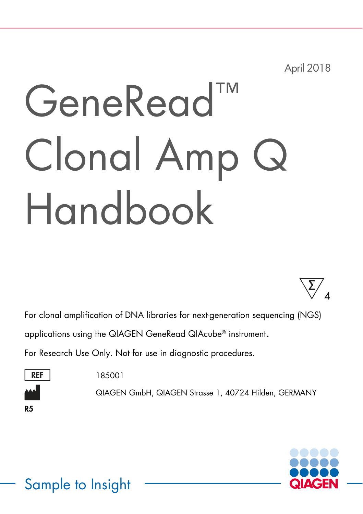April 2018

# GeneRead™ Clonal Amp Q Handbook

4 ∑

For clonal amplification of DNA libraries for next-generation sequencing (NGS)

applications using the QIAGEN GeneRead QIAcube® instrument.

For Research Use Only. Not for use in diagnostic procedures.



185001

QIAGEN GmbH, QIAGEN Strasse 1, 40724 Hilden, GERMANY

R5



### Sample to Insight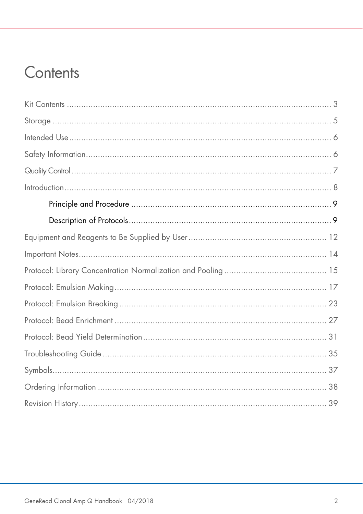### Contents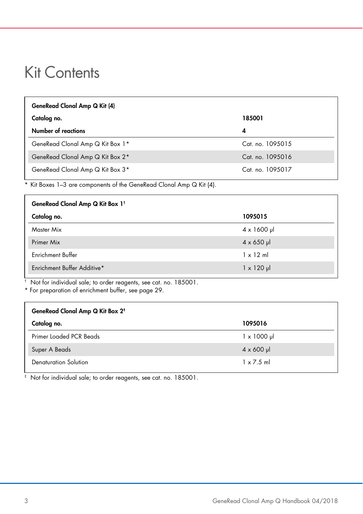### Kit Contents

| GeneRead Clonal Amp Q Kit (4)    |                  |
|----------------------------------|------------------|
| Catalog no.                      | 185001           |
| Number of reactions              | 4                |
| GeneRead Clonal Amp Q Kit Box 1* | Cat. no. 1095015 |
| GeneRead Clonal Amp Q Kit Box 2* | Cat. no. 1095016 |
| GeneRead Clonal Amp Q Kit Box 3* | Cat. no. 1095017 |

\* Kit Boxes 1–3 are components of the GeneRead Clonal Amp Q Kit (4).

| GeneRead Clonal Amp Q Kit Box 1 <sup>t</sup> |                       |
|----------------------------------------------|-----------------------|
| Catalog no.                                  | 1095015               |
| Master Mix                                   | $4 \times 1600 \,\mu$ |
| Primer Mix                                   | $4 \times 650$ µ      |
| <b>Enrichment Buffer</b>                     | $1 \times 12$ ml      |
| Enrichment Buffer Additive*                  | $1 \times 120$ µ      |

† Not for individual sale; to order reagents, see cat. no. 185001.

\* For preparation of enrichment buffer, see page 29.

| GeneRead Clonal Amp Q Kit Box 2 <sup>+</sup> |                     |
|----------------------------------------------|---------------------|
| Catalog no.                                  | 1095016             |
| Primer Loaded PCR Beads                      | $1 \times 1000 \mu$ |
| Super A Beads                                | $4 \times 600 \mu$  |
| Denaturation Solution                        | $1 \times 7.5$ ml   |

‡ Not for individual sale; to order reagents, see cat. no. 185001.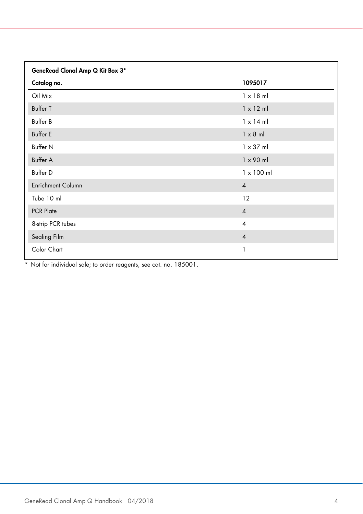| GeneRead Clonal Amp Q Kit Box 3* |                   |
|----------------------------------|-------------------|
| Catalog no.                      | 1095017           |
| Oil Mix                          | $1 \times 18$ ml  |
| <b>Buffer T</b>                  | $1 \times 12$ ml  |
| Buffer B                         | $1 \times 14$ ml  |
| <b>Buffer E</b>                  | $1 \times 8$ ml   |
| Buffer N                         | $1 \times 37$ ml  |
| Buffer A                         | $1 \times 90$ ml  |
| Buffer D                         | $1 \times 100$ ml |
| <b>Enrichment Column</b>         | $\overline{4}$    |
| Tube 10 ml                       | 12                |
| PCR Plate                        | $\overline{4}$    |
| 8-strip PCR tubes                | $\overline{4}$    |
| Sealing Film                     | $\overline{4}$    |
| Color Chart                      | 1                 |

\* Not for individual sale; to order reagents, see cat. no. 185001.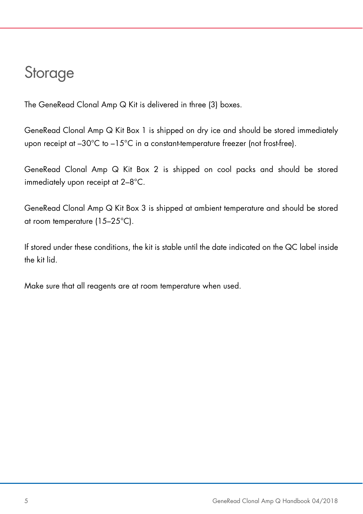### **Storage**

The GeneRead Clonal Amp Q Kit is delivered in three (3) boxes.

GeneRead Clonal Amp Q Kit Box 1 is shipped on dry ice and should be stored immediately upon receipt at  $-30^{\circ}$ C to  $-15^{\circ}$ C in a constant-temperature freezer (not frost-free).

GeneRead Clonal Amp Q Kit Box 2 is shipped on cool packs and should be stored immediately upon receipt at 2–8°C.

GeneRead Clonal Amp Q Kit Box 3 is shipped at ambient temperature and should be stored at room temperature (15–25°C).

If stored under these conditions, the kit is stable until the date indicated on the QC label inside the kit lid.

Make sure that all reagents are at room temperature when used.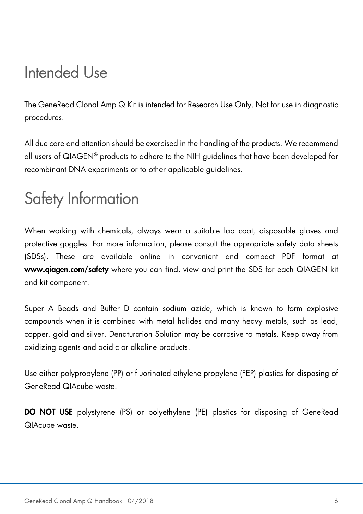### Intended Use

The GeneRead Clonal Amp Q Kit is intended for Research Use Only. Not for use in diagnostic procedures.

All due care and attention should be exercised in the handling of the products. We recommend all users of QIAGEN® products to adhere to the NIH guidelines that have been developed for recombinant DNA experiments or to other applicable guidelines.

### Safety Information

When working with chemicals, always wear a suitable lab coat, disposable gloves and protective goggles. For more information, please consult the appropriate safety data sheets (SDSs). These are available online in convenient and compact PDF format at www.qiagen.com/safety where you can find, view and print the SDS for each QIAGEN kit and kit component.

Super A Beads and Buffer D contain sodium azide, which is known to form explosive compounds when it is combined with metal halides and many heavy metals, such as lead, copper, gold and silver. Denaturation Solution may be corrosive to metals. Keep away from oxidizing agents and acidic or alkaline products.

Use either polypropylene (PP) or fluorinated ethylene propylene (FEP) plastics for disposing of GeneRead QIAcube waste.

DO NOT USE polystyrene (PS) or polyethylene (PE) plastics for disposing of GeneRead QIAcube waste.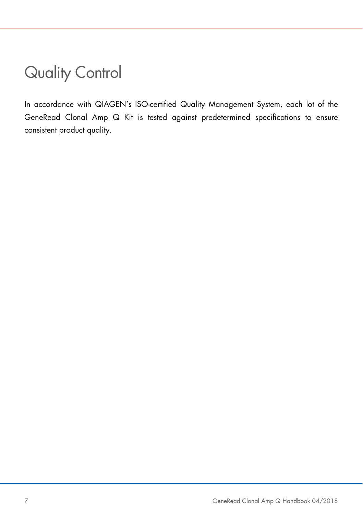### Quality Control

In accordance with QIAGEN's ISO-certified Quality Management System, each lot of the GeneRead Clonal Amp Q Kit is tested against predetermined specifications to ensure consistent product quality.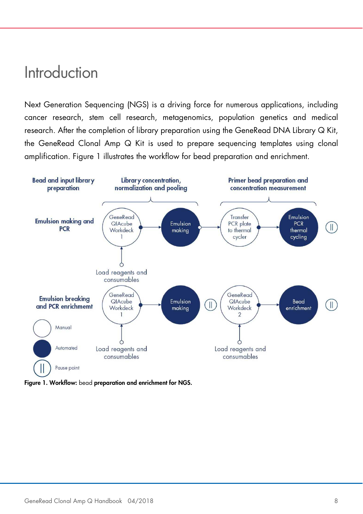### Introduction

Next Generation Sequencing (NGS) is a driving force for numerous applications, including cancer research, stem cell research, metagenomics, population genetics and medical research. After the completion of library preparation using the GeneRead DNA Library Q Kit, the GeneRead Clonal Amp Q Kit is used to prepare sequencing templates using clonal amplification. Figure 1 illustrates the workflow for bead preparation and enrichment.



Figure 1. Workflow: bead preparation and enrichment for NGS.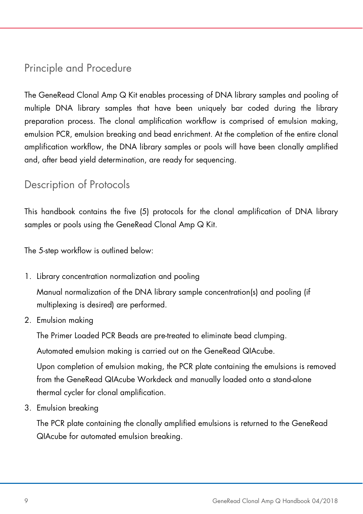### Principle and Procedure

The GeneRead Clonal Amp Q Kit enables processing of DNA library samples and pooling of multiple DNA library samples that have been uniquely bar coded during the library preparation process. The clonal amplification workflow is comprised of emulsion making, emulsion PCR, emulsion breaking and bead enrichment. At the completion of the entire clonal amplification workflow, the DNA library samples or pools will have been clonally amplified and, after bead yield determination, are ready for sequencing.

### Description of Protocols

This handbook contains the five (5) protocols for the clonal amplification of DNA library samples or pools using the GeneRead Clonal Amp Q Kit.

The 5-step workflow is outlined below:

1. Library concentration normalization and pooling

Manual normalization of the DNA library sample concentration(s) and pooling (if multiplexing is desired) are performed.

2. Emulsion making

The Primer Loaded PCR Beads are pre-treated to eliminate bead clumping.

Automated emulsion making is carried out on the GeneRead QIAcube.

Upon completion of emulsion making, the PCR plate containing the emulsions is removed from the GeneRead QIAcube Workdeck and manually loaded onto a stand-alone thermal cycler for clonal amplification.

3. Emulsion breaking

The PCR plate containing the clonally amplified emulsions is returned to the GeneRead QIAcube for automated emulsion breaking.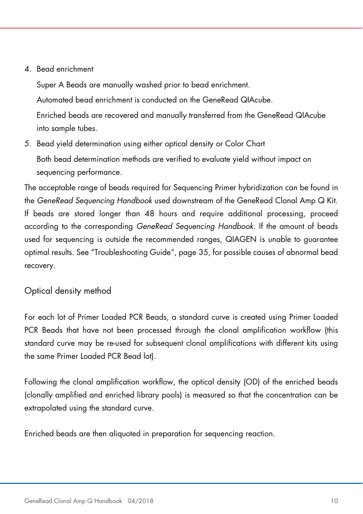#### 4. Bead enrichment

Super A Beads are manually washed prior to bead enrichment. Automated bead enrichment is conducted on the GeneRead QIAcube. Enriched beads are recovered and manually transferred from the GeneRead QIAcube into sample tubes.

5. Bead yield determination using either optical density or Color Chart Both bead determination methods are verified to evaluate yield without impact on sequencing performance.

The acceptable range of beads required for Sequencing Primer hybridization can be found in the GeneRead Sequencing Handbook used downstream of the GeneRead Clonal Amp Q Kit. If beads are stored longer than 48 hours and require additional processing, proceed according to the corresponding GeneRead Sequencing Handbook. If the amount of beads used for sequencing is outside the recommended ranges, QIAGEN is unable to guarantee optimal results. See "Troubleshooting Guide", page 35, for possible causes of abnormal bead recovery.

#### Optical density method

For each lot of Primer Loaded PCR Beads, a standard curve is created using Primer Loaded PCR Beads that have not been processed through the clonal amplification workflow (this standard curve may be re-used for subsequent clonal amplifications with different kits using the same Primer Loaded PCR Bead lot).

Following the clonal amplification workflow, the optical density (OD) of the enriched beads (clonally amplified and enriched library pools) is measured so that the concentration can be extrapolated using the standard curve.

Enriched beads are then aliquoted in preparation for sequencing reaction.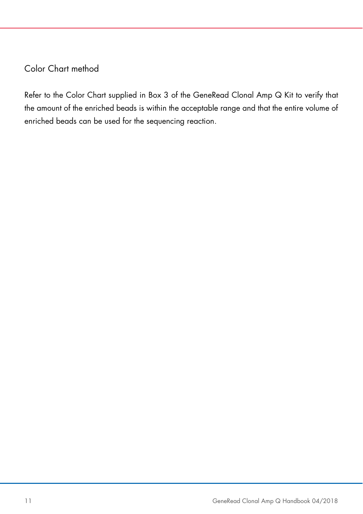#### Color Chart method

Refer to the Color Chart supplied in Box 3 of the GeneRead Clonal Amp Q Kit to verify that the amount of the enriched beads is within the acceptable range and that the entire volume of enriched beads can be used for the sequencing reaction.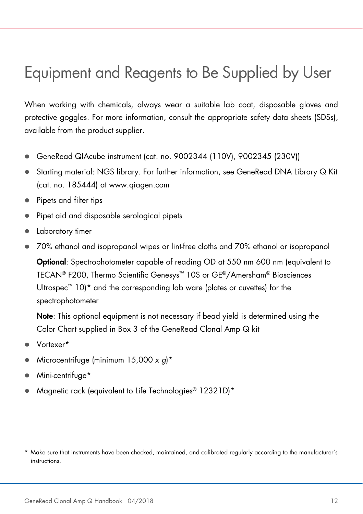### Equipment and Reagents to Be Supplied by User

When working with chemicals, always wear a suitable lab coat, disposable gloves and protective goggles. For more information, consult the appropriate safety data sheets (SDSs), available from the product supplier.

- GeneRead QIAcube instrument (cat. no. 9002344 (110V), 9002345 (230V))
- Starting material: NGS library. For further information, see GeneRead DNA Library Q Kit (cat. no. 185444) at www.qiagen.com
- Pipets and filter tips
- Pipet aid and disposable serological pipets
- Laboratory timer
- 70% ethanol and isopropanol wipes or lint-free cloths and 70% ethanol or isopropanol

Optional: Spectrophotometer capable of reading OD at 550 nm 600 nm (equivalent to TECAN® F200, Thermo Scientific Genesys™ 10S or GE®/Amersham® Biosciences Ultrospec<sup>™</sup> 10)<sup>\*</sup> and the corresponding lab ware (plates or cuvettes) for the spectrophotometer

Note: This optional equipment is not necessary if bead yield is determined using the Color Chart supplied in Box 3 of the GeneRead Clonal Amp Q kit

- Vortexer\*
- Microcentrifuge (minimum  $15,000 \times q$ <sup>\*</sup>
- Mini-centrifuge\*
- Magnetic rack (equivalent to Life Technologies® 12321D)\*

<sup>\*</sup> Make sure that instruments have been checked, maintained, and calibrated regularly according to the manufacturer's instructions.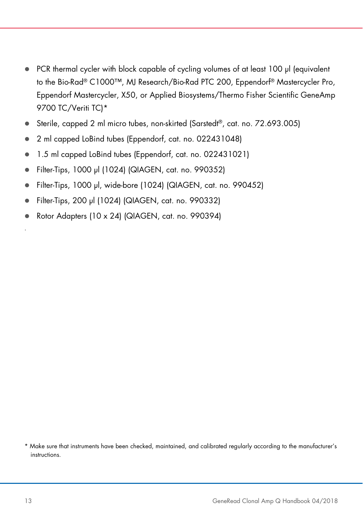- PCR thermal cycler with block capable of cycling volumes of at least 100 µl (equivalent to the Bio-Rad® C1000™, MJ Research/Bio-Rad PTC 200, Eppendorf® Mastercycler Pro, Eppendorf Mastercycler, X50, or Applied Biosystems/Thermo Fisher Scientific GeneAmp 9700 TC/Veriti TCI\*
- Sterile, capped 2 ml micro tubes, non-skirted (Sarstedt<sup>®</sup>, cat. no. 72.693.005)
- 2 ml capped LoBind tubes (Eppendorf, cat. no. 022431048)
- 1.5 ml capped LoBind tubes (Eppendorf, cat. no. 022431021)
- Filter-Tips, 1000 µl (1024) (QIAGEN, cat. no. 990352)
- Filter-Tips, 1000 µl, wide-bore (1024) (QIAGEN, cat. no. 990452)
- Filter-Tips, 200 µl (1024) (QIAGEN, cat. no. 990332)
- Rotor Adapters (10 x 24) (QIAGEN, cat. no. 990394)

\* Make sure that instruments have been checked, maintained, and calibrated regularly according to the manufacturer's instructions.

.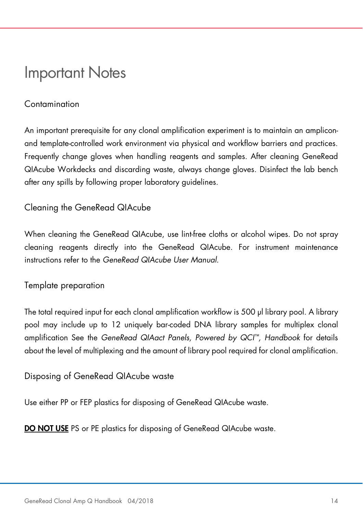### Important Notes

#### **Contamination**

An important prerequisite for any clonal amplification experiment is to maintain an ampliconand template-controlled work environment via physical and workflow barriers and practices. Frequently change gloves when handling reagents and samples. After cleaning GeneRead QIAcube Workdecks and discarding waste, always change gloves. Disinfect the lab bench after any spills by following proper laboratory guidelines.

#### Cleaning the GeneRead QIAcube

When cleaning the GeneRead QIAcube, use lint-free cloths or alcohol wipes. Do not spray cleaning reagents directly into the GeneRead QIAcube. For instrument maintenance instructions refer to the GeneRead QIAcube User Manual.

#### Template preparation

The total required input for each clonal amplification workflow is 500 µl library pool. A library pool may include up to 12 uniquely bar-coded DNA library samples for multiplex clonal amplification See the GeneRead QIAact Panels, Powered by QCI™, Handbook for details about the level of multiplexing and the amount of library pool required for clonal amplification.

#### Disposing of GeneRead QIAcube waste

Use either PP or FEP plastics for disposing of GeneRead QIAcube waste.

DO NOT USE PS or PE plastics for disposing of GeneRead QIAcube waste.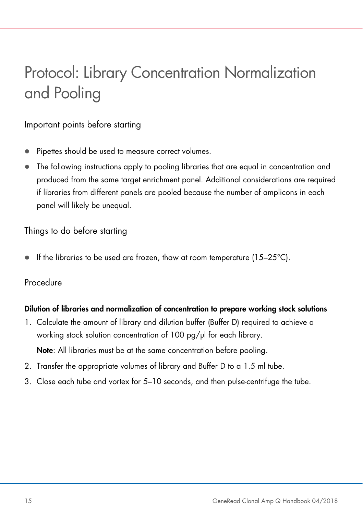# Protocol: Library Concentration Normalization and Pooling

#### Important points before starting

- Pipettes should be used to measure correct volumes.
- The following instructions apply to pooling libraries that are equal in concentration and produced from the same target enrichment panel. Additional considerations are required if libraries from different panels are pooled because the number of amplicons in each panel will likely be unequal.

#### Things to do before starting

If the libraries to be used are frozen, thaw at room temperature (15–25°C).

#### Procedure

#### Dilution of libraries and normalization of concentration to prepare working stock solutions

1. Calculate the amount of library and dilution buffer (Buffer D) required to achieve a working stock solution concentration of 100 pg/µl for each library.

Note: All libraries must be at the same concentration before pooling.

- 2. Transfer the appropriate volumes of library and Buffer D to a 1.5 ml tube.
- 3. Close each tube and vortex for 5–10 seconds, and then pulse-centrifuge the tube.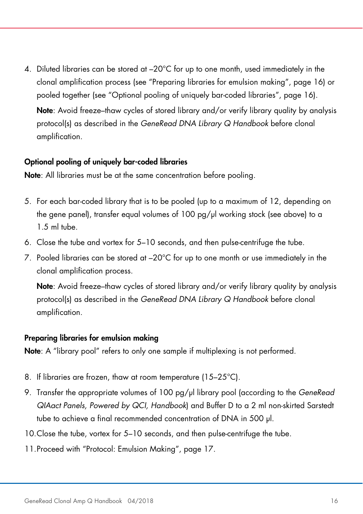4. Diluted libraries can be stored at –20°C for up to one month, used immediately in the clonal amplification process (see "Preparing libraries for emulsion making", page 16) or pooled together (see "Optional pooling of uniquely bar-coded libraries", page 16). Note: Avoid freeze–thaw cycles of stored library and/or verify library quality by analysis protocol(s) as described in the GeneRead DNA Library Q Handbook before clonal amplification.

#### Optional pooling of uniquely bar-coded libraries

Note: All libraries must be at the same concentration before pooling.

- 5. For each bar-coded library that is to be pooled (up to a maximum of 12, depending on the gene panel), transfer equal volumes of 100 pg/µl working stock (see above) to a 1.5 ml tube.
- 6. Close the tube and vortex for 5–10 seconds, and then pulse-centrifuge the tube.
- 7. Pooled libraries can be stored at  $-20^{\circ}$ C for up to one month or use immediately in the clonal amplification process.

Note: Avoid freeze-thaw cycles of stored library and/or verify library quality by analysis protocol(s) as described in the GeneRead DNA Library Q Handbook before clonal amplification.

#### Preparing libraries for emulsion making

Note: A "library pool" refers to only one sample if multiplexing is not performed.

- 8. If libraries are frozen, thaw at room temperature (15–25°C).
- 9. Transfer the appropriate volumes of 100 pg/ul library pool (according to the GeneRead QIAact Panels, Powered by QCI, Handbook) and Buffer D to a 2 ml non-skirted Sarstedt tube to achieve a final recommended concentration of DNA in 500 µl.
- 10.Close the tube, vortex for 5–10 seconds, and then pulse-centrifuge the tube.
- 11.Proceed with "Protocol: Emulsion Making", page 17.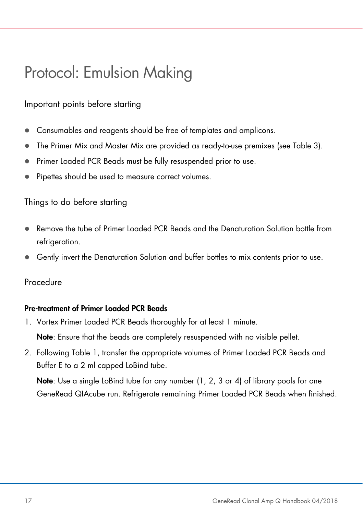### Protocol: Emulsion Making

#### Important points before starting

- Consumables and reagents should be free of templates and amplicons.
- The Primer Mix and Master Mix are provided as ready-to-use premixes (see Table 3).
- Primer Loaded PCR Beads must be fully resuspended prior to use.
- Pipettes should be used to measure correct volumes.

#### Things to do before starting

- Remove the tube of Primer Loaded PCR Beads and the Denaturation Solution bottle from refrigeration.
- Gently invert the Denaturation Solution and buffer bottles to mix contents prior to use.

#### Procedure

#### Pre-treatment of Primer Loaded PCR Beads

1. Vortex Primer Loaded PCR Beads thoroughly for at least 1 minute.

Note: Ensure that the beads are completely resuspended with no visible pellet.

2. Following Table 1, transfer the appropriate volumes of Primer Loaded PCR Beads and Buffer E to a 2 ml capped LoBind tube.

Note: Use a single LoBind tube for any number (1, 2, 3 or 4) of library pools for one GeneRead QIAcube run. Refrigerate remaining Primer Loaded PCR Beads when finished.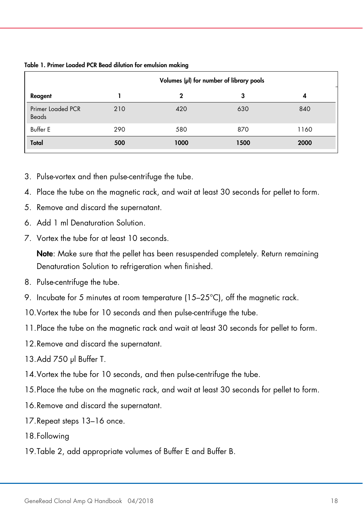|                                   | Volumes (µl) for number of library pools |      |      |      |
|-----------------------------------|------------------------------------------|------|------|------|
| Reagent                           |                                          |      | 3    | 4    |
| <b>Primer Loaded PCR</b><br>Beads | 210                                      | 420  | 630  | 840  |
| <b>Buffer E</b>                   | 290                                      | 580  | 870  | 1160 |
| Total                             | 500                                      | 1000 | 1500 | 2000 |

#### Table 1. Primer Loaded PCR Bead dilution for emulsion making

- 3. Pulse-vortex and then pulse-centrifuge the tube.
- 4. Place the tube on the magnetic rack, and wait at least 30 seconds for pellet to form.
- 5. Remove and discard the supernatant.
- 6. Add 1 ml Denaturation Solution.
- 7. Vortex the tube for at least 10 seconds.

Note: Make sure that the pellet has been resuspended completely. Return remaining Denaturation Solution to refrigeration when finished.

- 8. Pulse-centrifuge the tube.
- 9. Incubate for 5 minutes at room temperature (15–25°C), off the magnetic rack.
- 10.Vortex the tube for 10 seconds and then pulse-centrifuge the tube.
- 11.Place the tube on the magnetic rack and wait at least 30 seconds for pellet to form.
- 12.Remove and discard the supernatant.
- 13.Add 750 µl Buffer T.
- 14.Vortex the tube for 10 seconds, and then pulse-centrifuge the tube.
- 15.Place the tube on the magnetic rack, and wait at least 30 seconds for pellet to form.
- 16.Remove and discard the supernatant.
- 17.Repeat steps 13–16 once.
- 18.Following
- 19.Table 2, add appropriate volumes of Buffer E and Buffer B.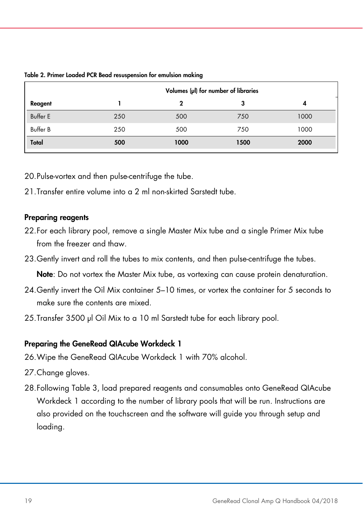|                 | Volumes (µl) for number of libraries |      |      |      |
|-----------------|--------------------------------------|------|------|------|
| Reagent         |                                      |      | з    | 4    |
| <b>Buffer E</b> | 250                                  | 500  | 750  | 1000 |
| <b>Buffer B</b> | 250                                  | 500  | 750  | 1000 |
| Total           | 500                                  | 1000 | 1500 | 2000 |

Table 2. Primer Loaded PCR Bead resuspension for emulsion making

20.Pulse-vortex and then pulse-centrifuge the tube.

21. Transfer entire volume into a 2 ml non-skirted Sarstedt tube.

#### Preparing reagents

- 22.For each library pool, remove a single Master Mix tube and a single Primer Mix tube from the freezer and thaw.
- 23.Gently invert and roll the tubes to mix contents, and then pulse-centrifuge the tubes.

Note: Do not vortex the Master Mix tube, as vortexing can cause protein denaturation.

- 24.Gently invert the Oil Mix container 5–10 times, or vortex the container for 5 seconds to make sure the contents are mixed.
- 25. Transfer 3500 µl Oil Mix to a 10 ml Sarstedt tube for each library pool.

#### Preparing the GeneRead QIAcube Workdeck 1

- 26.Wipe the GeneRead QIAcube Workdeck 1 with 70% alcohol.
- 27.Change gloves.
- 28.Following Table 3, load prepared reagents and consumables onto GeneRead QIAcube Workdeck 1 according to the number of library pools that will be run. Instructions are also provided on the touchscreen and the software will guide you through setup and loading.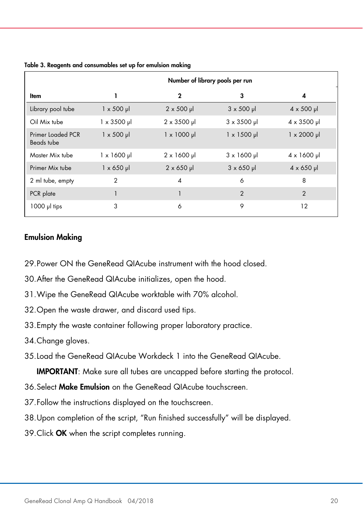|                                 | Number of library pools per run |                     |                   |                            |
|---------------------------------|---------------------------------|---------------------|-------------------|----------------------------|
| ltem                            |                                 | $\mathbf 2$         | 3                 | 4                          |
| Library pool tube               | $1 \times 500 \mu$              | $2 \times 500$ µ    | $3 \times 500$ µ  | $4 \times 500$ µ           |
| Oil Mix tube                    | $1 \times 3500 \mu$             | $2 \times 3500$ µ   | $3 \times 3500$ µ | $4 \times 3500 \text{ pl}$ |
| Primer Loaded PCR<br>Beads tube | $1 \times 500 \mu$              | $1 \times 1000 \mu$ | $1 \times 1500$ µ | $1 \times 2000 \mu$        |
| Master Mix tube                 | $1 \times 1600$ µ               | $2 \times 1600 \mu$ | $3 \times 1600$ µ | $4 \times 1600 \text{ pl}$ |
| Primer Mix tube                 | $1 \times 650$ µ                | $2 \times 650$ µ    | $3 \times 650$ µ  | $4 \times 650 \mu$         |
| 2 ml tube, empty                | 2                               | $\overline{4}$      | 6                 | 8                          |
| PCR plate                       |                                 |                     | $\overline{2}$    | $\overline{2}$             |
| $1000$ $\mu$ tips               | 3                               | 6                   | 9                 | 12                         |

Table 3. Reagents and consumables set up for emulsion making

#### Emulsion Making

- 29.Power ON the GeneRead QIAcube instrument with the hood closed.
- 30.After the GeneRead QIAcube initializes, open the hood.
- 31.Wipe the GeneRead QIAcube worktable with 70% alcohol.
- 32.Open the waste drawer, and discard used tips.
- 33.Empty the waste container following proper laboratory practice.
- 34.Change gloves.
- 35.Load the GeneRead QIAcube Workdeck 1 into the GeneRead QIAcube.

IMPORTANT: Make sure all tubes are uncapped before starting the protocol.

- 36. Select Make Emulsion on the GeneRead QIAcube touchscreen.
- 37.Follow the instructions displayed on the touchscreen.
- 38.Upon completion of the script, "Run finished successfully" will be displayed.
- 39. Click OK when the script completes running.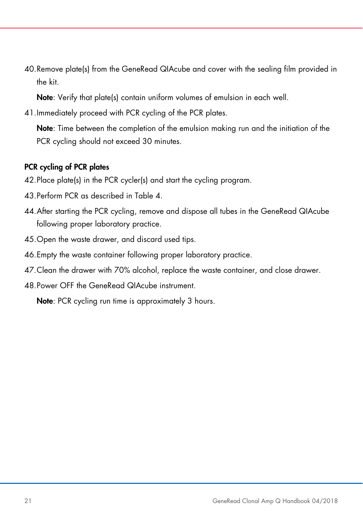40.Remove plate(s) from the GeneRead QIAcube and cover with the sealing film provided in the kit.

Note: Verify that plate(s) contain uniform volumes of emulsion in each well.

41.Immediately proceed with PCR cycling of the PCR plates.

Note: Time between the completion of the emulsion making run and the initiation of the PCR cycling should not exceed 30 minutes.

#### PCR cycling of PCR plates

- 42.Place plate(s) in the PCR cycler(s) and start the cycling program.
- 43.Perform PCR as described in Table 4.
- 44.After starting the PCR cycling, remove and dispose all tubes in the GeneRead QIAcube following proper laboratory practice.
- 45.Open the waste drawer, and discard used tips.
- 46.Empty the waste container following proper laboratory practice.
- 47.Clean the drawer with 70% alcohol, replace the waste container, and close drawer.
- 48.Power OFF the GeneRead QIAcube instrument.

Note: PCR cycling run time is approximately 3 hours.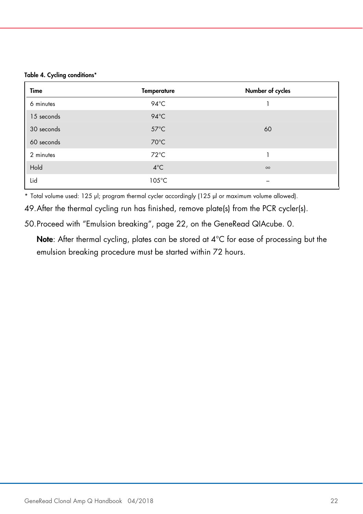|  |  | Table 4. Cycling conditions* |
|--|--|------------------------------|
|--|--|------------------------------|

| Time       | <b>Temperature</b> | Number of cycles |
|------------|--------------------|------------------|
| 6 minutes  | $94^{\circ}$ C     |                  |
| 15 seconds | $94^{\circ}$ C     |                  |
| 30 seconds | $57^{\circ}$ C     | 60               |
| 60 seconds | $70^{\circ}$ C     |                  |
| 2 minutes  | $72^{\circ}$ C     |                  |
| Hold       | $4^{\circ}$ C      | $\infty$         |
| Lid        | $105^{\circ}$ C    |                  |

\* Total volume used: 125 µl; program thermal cycler accordingly (125 µl or maximum volume allowed).

49.After the thermal cycling run has finished, remove plate(s) from the PCR cycler(s).

50.Proceed with "Emulsion breaking", page 22, on the GeneRead QIAcube. 0.

Note: After thermal cycling, plates can be stored at 4°C for ease of processing but the emulsion breaking procedure must be started within 72 hours.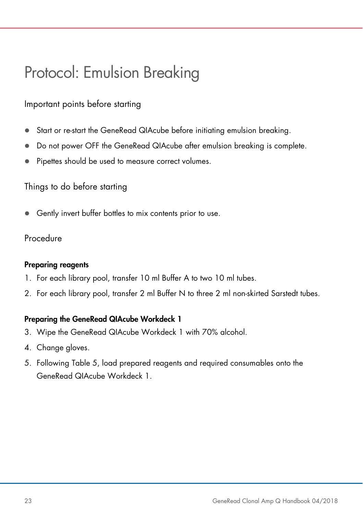### Protocol: Emulsion Breaking

Important points before starting

- Start or re-start the GeneRead QIAcube before initiating emulsion breaking.
- Do not power OFF the GeneRead QIAcube after emulsion breaking is complete.
- Pipettes should be used to measure correct volumes.

Things to do before starting

Gently invert buffer bottles to mix contents prior to use.

Procedure

#### Preparing reagents

- 1. For each library pool, transfer 10 ml Buffer A to two 10 ml tubes.
- 2. For each library pool, transfer 2 ml Buffer N to three 2 ml non-skirted Sarstedt tubes.

#### Preparing the GeneRead QIAcube Workdeck 1

- 3. Wipe the GeneRead QIAcube Workdeck 1 with 70% alcohol.
- 4. Change gloves.
- 5. Following Table 5, load prepared reagents and required consumables onto the GeneRead QIAcube Workdeck 1.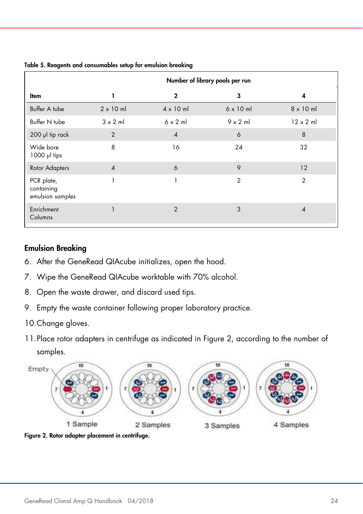|                                              | Number of library pools per run |                  |                  |                  |
|----------------------------------------------|---------------------------------|------------------|------------------|------------------|
| ltem                                         | ı                               | $\mathbf 2$      | 3                | 4                |
| Buffer A tube                                | $2 \times 10$ ml                | $4 \times 10$ ml | $6 \times 10$ ml | $8 \times 10$ ml |
| Buffer N tube                                | $3 \times 2$ m                  | $6 \times 2$ m   | $9 \times 2$ m   | $12 \times 2$ ml |
| 200 µl tip rack                              | $\overline{2}$                  | $\overline{4}$   | 6                | 8                |
| Wide bore<br>$1000$ $\mu$ tips               | 8                               | 16               | 24               | 32               |
| Rotor Adapters                               | $\boldsymbol{\Lambda}$          | 6                | 9                | 12               |
| PCR plate,<br>containing<br>emulsion samples |                                 |                  | $\overline{2}$   | $\overline{2}$   |
| Enrichment<br>Columns                        |                                 | $\mathcal{P}$    | 3                | $\overline{A}$   |

Table 5. Reagents and consumables setup for emulsion breaking

#### Emulsion Breaking

- 6. After the GeneRead QIAcube initializes, open the hood.
- 7. Wipe the GeneRead QIAcube worktable with 70% alcohol.
- 8. Open the waste drawer, and discard used tips.
- 9. Empty the waste container following proper laboratory practice.
- 10.Change gloves.
- 11.Place rotor adapters in centrifuge as indicated in Figure 2, according to the number of samples.



Figure 2. Rotor adapter placement in centrifuge.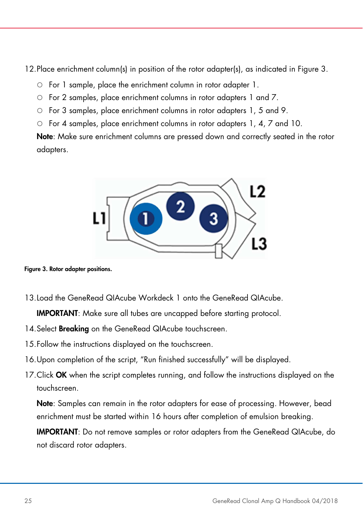12.Place enrichment column(s) in position of the rotor adapter(s), as indicated in Figure 3.

- For 1 sample, place the enrichment column in rotor adapter 1.
- For 2 samples, place enrichment columns in rotor adapters 1 and 7.
- For 3 samples, place enrichment columns in rotor adapters 1, 5 and 9.
- For 4 samples, place enrichment columns in rotor adapters 1, 4, 7 and 10.

Note: Make sure enrichment columns are pressed down and correctly seated in the rotor adapters.



Figure 3. Rotor adapter positions.

13.Load the GeneRead QIAcube Workdeck 1 onto the GeneRead QIAcube.

IMPORTANT: Make sure all tubes are uncapped before starting protocol.

- 14. Select **Breaking** on the GeneRead QIAcube touchscreen.
- 15.Follow the instructions displayed on the touchscreen.
- 16.Upon completion of the script, "Run finished successfully" will be displayed.
- 17. Click OK when the script completes running, and follow the instructions displayed on the touchscreen.

Note: Samples can remain in the rotor adapters for ease of processing. However, bead enrichment must be started within 16 hours after completion of emulsion breaking.

IMPORTANT: Do not remove samples or rotor adapters from the GeneRead QIAcube, do not discard rotor adapters.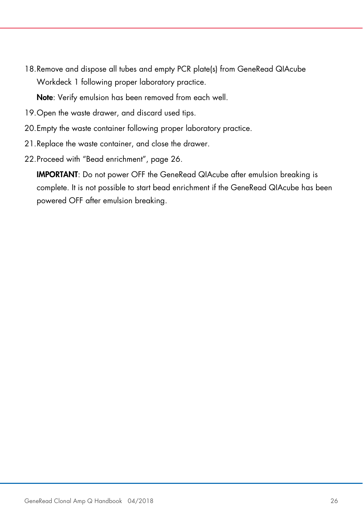18.Remove and dispose all tubes and empty PCR plate(s) from GeneRead QIAcube Workdeck 1 following proper laboratory practice.

Note: Verify emulsion has been removed from each well.

- 19.Open the waste drawer, and discard used tips.
- 20.Empty the waste container following proper laboratory practice.
- 21.Replace the waste container, and close the drawer.
- 22.Proceed with "Bead enrichment", page 26.

IMPORTANT: Do not power OFF the GeneRead QIAcube after emulsion breaking is complete. It is not possible to start bead enrichment if the GeneRead QIAcube has been powered OFF after emulsion breaking.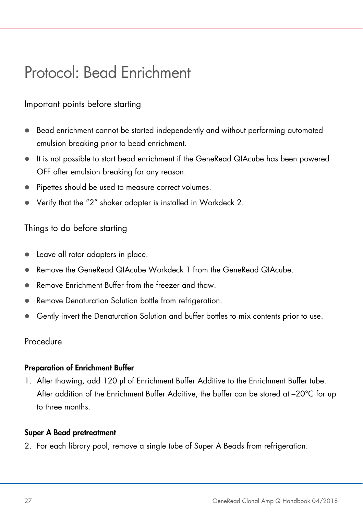### Protocol: Bead Enrichment

#### Important points before starting

- Bead enrichment cannot be started independently and without performing automated emulsion breaking prior to bead enrichment.
- It is not possible to start bead enrichment if the GeneRead QIAcube has been powered OFF after emulsion breaking for any reason.
- Pipettes should be used to measure correct volumes.
- Verify that the "2" shaker adapter is installed in Workdeck 2.

#### Things to do before starting

- Leave all rotor adapters in place.
- Remove the GeneRead QIAcube Workdeck 1 from the GeneRead QIAcube.
- Remove Enrichment Buffer from the freezer and thaw.
- Remove Denaturation Solution bottle from refrigeration.
- Gently invert the Denaturation Solution and buffer bottles to mix contents prior to use.

#### Procedure

#### Preparation of Enrichment Buffer

1. After thawing, add 120 µl of Enrichment Buffer Additive to the Enrichment Buffer tube. After addition of the Enrichment Buffer Additive, the buffer can be stored at –20°C for up to three months.

#### Super A Bead pretreatment

2. For each library pool, remove a single tube of Super A Beads from refrigeration.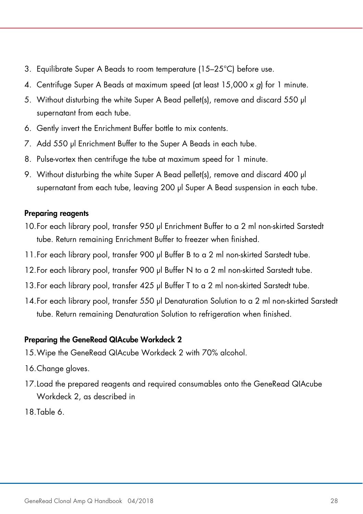- 3. Equilibrate Super A Beads to room temperature (15–25°C) before use.
- 4. Centrifuge Super A Beads at maximum speed (at least 15,000 x q) for 1 minute.
- 5. Without disturbing the white Super A Bead pellet(s), remove and discard 550 µl supernatant from each tube.
- 6. Gently invert the Enrichment Buffer bottle to mix contents.
- 7. Add 550 µl Enrichment Buffer to the Super A Beads in each tube.
- 8. Pulse-vortex then centrifuge the tube at maximum speed for 1 minute.
- 9. Without disturbing the white Super A Bead pellet(s), remove and discard 400 µl supernatant from each tube, leaving 200 µl Super A Bead suspension in each tube.

#### Preparing reagents

- 10.For each library pool, transfer 950 µl Enrichment Buffer to a 2 ml non-skirted Sarstedt tube. Return remaining Enrichment Buffer to freezer when finished.
- 11.For each library pool, transfer 900 µl Buffer B to a 2 ml non-skirted Sarstedt tube.
- 12.For each library pool, transfer 900 µl Buffer N to a 2 ml non-skirted Sarstedt tube.
- 13. For each library pool, transfer 425 µl Buffer T to a 2 ml non-skirted Sarstedt tube.
- 14.For each library pool, transfer 550 µl Denaturation Solution to a 2 ml non-skirted Sarstedt tube. Return remaining Denaturation Solution to refrigeration when finished.

#### Preparing the GeneRead QIAcube Workdeck 2

- 15.Wipe the GeneRead QIAcube Workdeck 2 with 70% alcohol.
- 16.Change gloves.
- 17.Load the prepared reagents and required consumables onto the GeneRead QIAcube Workdeck 2, as described in
- 18.Table 6.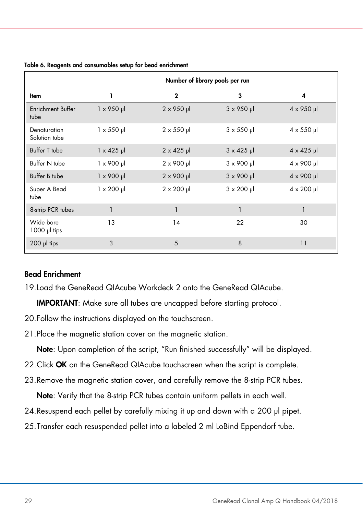|                                  | Number of library pools per run |                    |                           |                           |
|----------------------------------|---------------------------------|--------------------|---------------------------|---------------------------|
| ltem                             | 1                               | $\mathbf{2}$       | 3                         | 4                         |
| <b>Enrichment Buffer</b><br>tube | $1 \times 950 \mu$              | $2 \times 950$ µ   | $3 \times 950$ µ          | $4 \times 950$ µ          |
| Denaturation<br>Solution tube    | $1 \times 550$ µ                | $2 \times 550$ µ   | $3 \times 550$ µ          | $4 \times 550 \mu$        |
| Buffer T tube                    | $1 \times 425$ µ                | $2 \times 425$ µ   | $3 \times 425$ µ          | $4 \times 425$ µ          |
| Buffer N tube                    | $1 \times 900$ µ                | $2 \times 900 \mu$ | $3 \times 900 \text{ pl}$ | $4 \times 900$ µ          |
| Buffer B tube                    | $1 \times 900 \mu$              | $2 \times 900 \mu$ | $3 \times 900 \mu$        | $4 \times 900 \text{ pl}$ |
| Super A Bead<br>tube             | $1 \times 200 \mu$              | $2 \times 200 \mu$ | $3 \times 200 \mu$        | $4 \times 200 \mu$        |
| 8-strip PCR tubes                | $\mathbf{1}$                    | 1                  | 1                         | 1                         |
| Wide bore<br>$1000$ $\mu$ tips   | 13                              | 14                 | 22                        | 30                        |
| $200$ $\mu$ tips                 | 3                               | 5                  | 8                         | 11                        |

#### Table 6. Reagents and consumables setup for bead enrichment

#### Bead Enrichment

19.Load the GeneRead QIAcube Workdeck 2 onto the GeneRead QIAcube.

IMPORTANT: Make sure all tubes are uncapped before starting protocol.

- 20.Follow the instructions displayed on the touchscreen.
- 21.Place the magnetic station cover on the magnetic station.

Note: Upon completion of the script, "Run finished successfully" will be displayed.

- 22. Click OK on the GeneRead QIAcube touchscreen when the script is complete.
- 23.Remove the magnetic station cover, and carefully remove the 8-strip PCR tubes.

Note: Verify that the 8-strip PCR tubes contain uniform pellets in each well.

- 24. Resuspend each pellet by carefully mixing it up and down with a 200 µl pipet.
- 25.Transfer each resuspended pellet into a labeled 2 ml LoBind Eppendorf tube.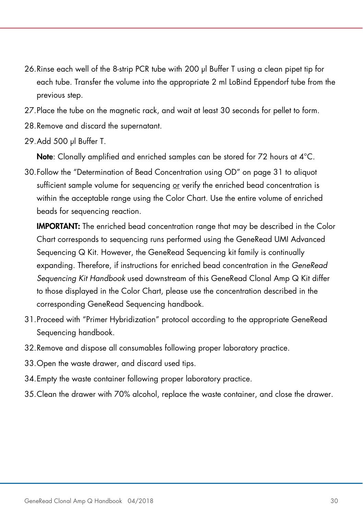- 26.Rinse each well of the 8-strip PCR tube with 200 µl Buffer T using a clean pipet tip for each tube. Transfer the volume into the appropriate 2 ml LoBind Eppendorf tube from the previous step.
- 27.Place the tube on the magnetic rack, and wait at least 30 seconds for pellet to form.
- 28.Remove and discard the supernatant.
- 29.Add 500 µl Buffer T.

Note: Clonally amplified and enriched samples can be stored for 72 hours at 4°C.

30.Follow the "Determination of Bead Concentration using OD" on page 31 to aliquot sufficient sample volume for sequencing or verify the enriched bead concentration is within the acceptable range using the Color Chart. Use the entire volume of enriched beads for sequencing reaction.

IMPORTANT: The enriched bead concentration range that may be described in the Color Chart corresponds to sequencing runs performed using the GeneRead UMI Advanced Sequencing Q Kit. However, the GeneRead Sequencing kit family is continually expanding. Therefore, if instructions for enriched bead concentration in the GeneRead Sequencing Kit Handbook used downstream of this GeneRead Clonal Amp Q Kit differ to those displayed in the Color Chart, please use the concentration described in the corresponding GeneRead Sequencing handbook.

- 31.Proceed with "Primer Hybridization" protocol according to the appropriate GeneRead Sequencing handbook.
- 32.Remove and dispose all consumables following proper laboratory practice.
- 33.Open the waste drawer, and discard used tips.
- 34.Empty the waste container following proper laboratory practice.
- 35.Clean the drawer with 70% alcohol, replace the waste container, and close the drawer.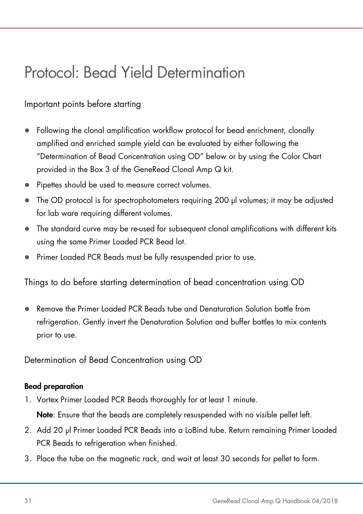### Protocol: Bead Yield Determination

#### Important points before starting

- Following the clonal amplification workflow protocol for bead enrichment, clonally amplified and enriched sample yield can be evaluated by either following the "Determination of Bead Concentration using OD" below or by using the Color Chart provided in the Box 3 of the GeneRead Clonal Amp Q kit.
- Pipettes should be used to measure correct volumes.
- The OD protocol is for spectrophotometers requiring 200 µl volumes; it may be adjusted for lab ware requiring different volumes.
- The standard curve may be re-used for subsequent clonal amplifications with different kits using the same Primer Loaded PCR Bead lot.
- Primer Loaded PCR Beads must be fully resuspended prior to use.

Things to do before starting determination of bead concentration using OD

 Remove the Primer Loaded PCR Beads tube and Denaturation Solution bottle from refrigeration. Gently invert the Denaturation Solution and buffer bottles to mix contents prior to use.

Determination of Bead Concentration using OD

#### Bead preparation

1. Vortex Primer Loaded PCR Beads thoroughly for at least 1 minute.

Note: Ensure that the beads are completely resuspended with no visible pellet left.

- 2. Add 20 µl Primer Loaded PCR Beads into a LoBind tube. Return remaining Primer Loaded PCR Beads to refrigeration when finished.
- 3. Place the tube on the magnetic rack, and wait at least 30 seconds for pellet to form.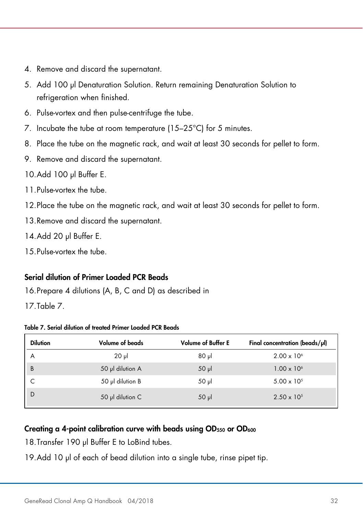- 4. Remove and discard the supernatant.
- 5. Add 100 µl Denaturation Solution. Return remaining Denaturation Solution to refrigeration when finished.
- 6. Pulse-vortex and then pulse-centrifuge the tube.
- 7. Incubate the tube at room temperature (15–25°C) for 5 minutes.
- 8. Place the tube on the magnetic rack, and wait at least 30 seconds for pellet to form.
- 9. Remove and discard the supernatant.
- 10.Add 100 µl Buffer E.
- 11.Pulse-vortex the tube.
- 12.Place the tube on the magnetic rack, and wait at least 30 seconds for pellet to form.
- 13.Remove and discard the supernatant.

14. Add 20 µl Buffer E.

15.Pulse-vortex the tube.

#### Serial dilution of Primer Loaded PCR Beads

16.Prepare 4 dilutions (A, B, C and D) as described in

17.Table 7.

| Table 7. Serial dilution of treated Primer Loaded PCR Beads |  |  |  |  |  |
|-------------------------------------------------------------|--|--|--|--|--|
|-------------------------------------------------------------|--|--|--|--|--|

| <b>Dilution</b> | <b>Volume of beads</b> | <b>Volume of Buffer E</b> | Final concentration (beads/ $\mu$ l) |
|-----------------|------------------------|---------------------------|--------------------------------------|
| A               | 20 <sub>µ</sub>        | $80 \mu$                  | $2.00 \times 10^{6}$                 |
| $\overline{B}$  | 50 µl dilution A       | 50 <sub>µ</sub>           | $1.00 \times 10^{6}$                 |
|                 | 50 µl dilution B       | 50 µl                     | $5.00 \times 10^{5}$                 |
| <b>D</b>        | 50 µl dilution C       | $50 \mu$                  | $2.50 \times 10^{5}$                 |

#### Creating a 4-point calibration curve with beads using OD<sub>550</sub> or OD<sub>600</sub>

18. Transfer 190 µl Buffer E to LoBind tubes.

19.Add 10 µl of each of bead dilution into a single tube, rinse pipet tip.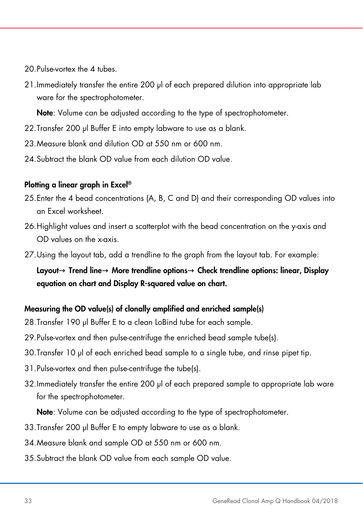20. Pulse-vortex the 4 tubes.

21. Immediately transfer the entire 200 µl of each prepared dilution into appropriate lab ware for the spectrophotometer.

Note: Volume can be adjusted according to the type of spectrophotometer.

- 22. Transfer 200 µl Buffer E into empty labware to use as a blank.
- 23.Measure blank and dilution OD at 550 nm or 600 nm.
- 24. Subtract the blank OD value from each dilution OD value.

#### Plotting a linear graph in Excel®

- 25.Enter the 4 bead concentrations (A, B, C and D) and their corresponding OD values into an Excel worksheet.
- 26.Highlight values and insert a scatterplot with the bead concentration on the y-axis and OD values on the x-axis.
- 27.Using the layout tab, add a trendline to the graph from the layout tab. For example:

Layout→ Trend line→ More trendline options→ Check trendline options: linear, Display equation on chart and Display R-squared value on chart.

#### Measuring the OD value(s) of clonally amplified and enriched sample(s)

- 28. Transfer 190 µl Buffer E to a clean LoBind tube for each sample.
- 29.Pulse-vortex and then pulse-centrifuge the enriched bead sample tube(s).
- 30.Transfer 10 µl of each enriched bead sample to a single tube, and rinse pipet tip.
- 31.Pulse-vortex and then pulse-centrifuge the tube(s).
- 32.Immediately transfer the entire 200 µl of each prepared sample to appropriate lab ware for the spectrophotometer.

Note: Volume can be adjusted according to the type of spectrophotometer.

- 33. Transfer 200 µl Buffer E to empty labware to use as a blank.
- 34.Measure blank and sample OD at 550 nm or 600 nm.
- 35.Subtract the blank OD value from each sample OD value.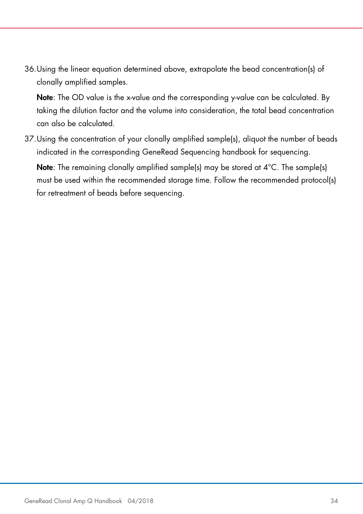36.Using the linear equation determined above, extrapolate the bead concentration(s) of clonally amplified samples.

Note: The OD value is the x-value and the corresponding y-value can be calculated. By taking the dilution factor and the volume into consideration, the total bead concentration can also be calculated.

37.Using the concentration of your clonally amplified sample(s), aliquot the number of beads indicated in the corresponding GeneRead Sequencing handbook for sequencing.

Note: The remaining clonally amplified sample(s) may be stored at 4°C. The sample(s) must be used within the recommended storage time. Follow the recommended protocol(s) for retreatment of beads before sequencing.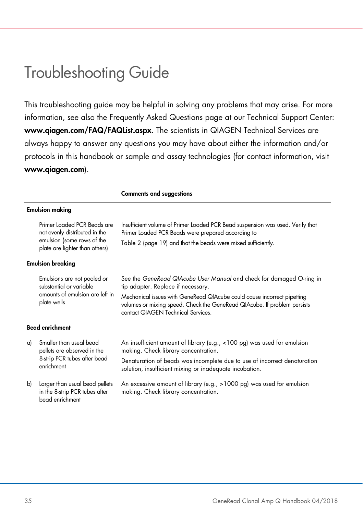### Troubleshooting Guide

This troubleshooting guide may be helpful in solving any problems that may arise. For more information, see also the Frequently Asked Questions page at our Technical Support Center: www.qiagen.com/FAQ/FAQList.aspx. The scientists in QIAGEN Technical Services are always happy to answer any questions you may have about either the information and/or protocols in this handbook or sample and assay technologies (for contact information, visit www.qiagen.com).

Comments and suggestions

|    | <b>Emulsion making</b>                                                                                                       |                                                                                                                                                                                                                                                                                                         |
|----|------------------------------------------------------------------------------------------------------------------------------|---------------------------------------------------------------------------------------------------------------------------------------------------------------------------------------------------------------------------------------------------------------------------------------------------------|
|    | Primer Loaded PCR Beads are<br>not evenly distributed in the<br>emulsion (some rows of the<br>plate are lighter than others) | Insufficient volume of Primer Loaded PCR Bead suspension was used. Verify that<br>Primer Loaded PCR Beads were prepared according to<br>Table 2 (page 19) and that the beads were mixed sufficiently.                                                                                                   |
|    | <b>Emulsion breaking</b>                                                                                                     |                                                                                                                                                                                                                                                                                                         |
|    | Emulsions are not pooled or<br>substantial or variable<br>amounts of emulsion are left in<br>plate wells                     | See the GeneRead QIAcube User Manual and check for damaged O-ring in<br>tip adapter. Replace if necessary.<br>Mechanical issues with GeneRead QIAcube could cause incorrect pipetting<br>volumes or mixing speed. Check the GeneRead QIAcube. If problem persists<br>contact QIAGEN Technical Services. |
|    | <b>Bead enrichment</b>                                                                                                       |                                                                                                                                                                                                                                                                                                         |
| a) | Smaller than usual bead<br>pellets are observed in the<br>8-strip PCR tubes after bead<br>enrichment                         | An insufficient amount of library (e.g., <100 pg) was used for emulsion<br>making. Check library concentration.<br>Denaturation of beads was incomplete due to use of incorrect denaturation<br>solution, insufficient mixing or inadequate incubation.                                                 |
| b) | Larger than usual bead pellets<br>in the 8-strip PCR tubes after<br>bead enrichment                                          | An excessive amount of library (e.g., >1000 pg) was used for emulsion<br>making. Check library concentration.                                                                                                                                                                                           |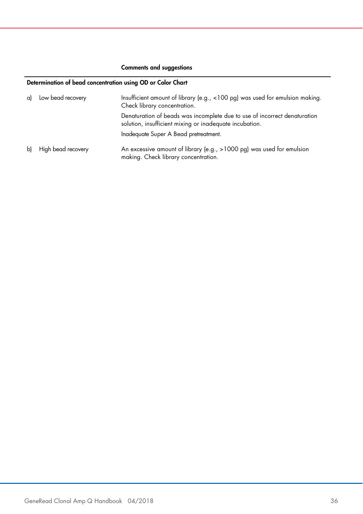#### Comments and suggestions

#### Determination of bead concentration using OD or Color Chart

| a) | Low bead recovery  | Insufficient amount of library (e.g., <100 pg) was used for emulsion making.<br>Check library concentration.                         |  |  |
|----|--------------------|--------------------------------------------------------------------------------------------------------------------------------------|--|--|
|    |                    | Denaturation of beads was incomplete due to use of incorrect denaturation<br>solution, insufficient mixing or inadequate incubation. |  |  |
|    |                    | Inadequate Super A Bead pretreatment.                                                                                                |  |  |
| bì | High bead recovery | An excessive amount of library (e.g., >1000 pg) was used for emulsion<br>making. Check library concentration.                        |  |  |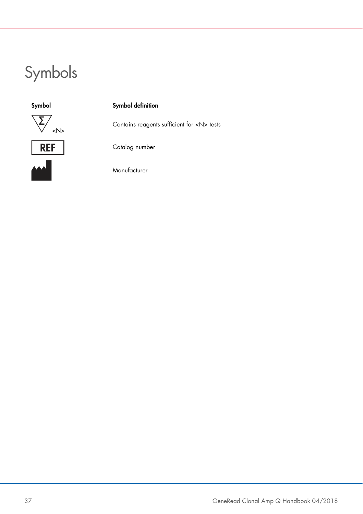# Symbols

| Symbol         | Symbol definition                              |  |
|----------------|------------------------------------------------|--|
| $<\mathsf{N}>$ | Contains reagents sufficient for <n> tests</n> |  |
| <b>REF</b>     | Catalog number                                 |  |
| الممه          | Manufacturer                                   |  |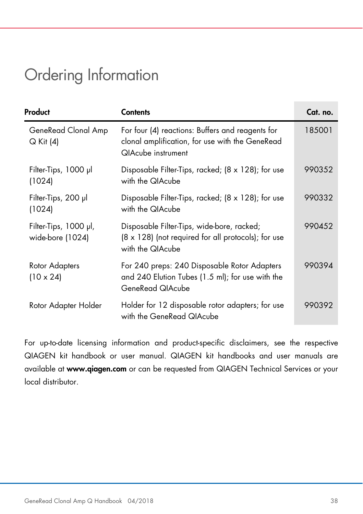### Ordering Information

| Product                                   | <b>Contents</b>                                                                                                                  | Cat. no. |
|-------------------------------------------|----------------------------------------------------------------------------------------------------------------------------------|----------|
| GeneRead Clonal Amp<br>Q Kit (4)          | For four (4) reactions: Buffers and reagents for<br>clonal amplification, for use with the GeneRead<br><b>QIAcube instrument</b> | 185001   |
| Filter-Tips, 1000 µl<br>(1024)            | Disposable Filter-Tips, racked; (8 x 128); for use<br>with the QIAcube                                                           | 990352   |
| Filter-Tips, 200 µl<br>(1024)             | Disposable Filter-Tips, racked; $(8 \times 128)$ ; for use<br>with the QIAcube                                                   | 990332   |
| Filter-Tips, 1000 µl,<br>wide-bore (1024) | Disposable Filter-Tips, wide-bore, racked;<br>$(8 \times 128)$ (not required for all protocols); for use<br>with the QIAcube     | 990452   |
| Rotor Adapters<br>$(10 \times 24)$        | For 240 preps: 240 Disposable Rotor Adapters<br>and 240 Elution Tubes (1.5 ml); for use with the<br>GeneRead QIAcube             | 990394   |
| Rotor Adapter Holder                      | Holder for 12 disposable rotor adapters; for use<br>with the GeneRead QIAcube                                                    | 990392   |

For up-to-date licensing information and product-specific disclaimers, see the respective QIAGEN kit handbook or user manual. QIAGEN kit handbooks and user manuals are available at www.qiagen.com or can be requested from QIAGEN Technical Services or your local distributor.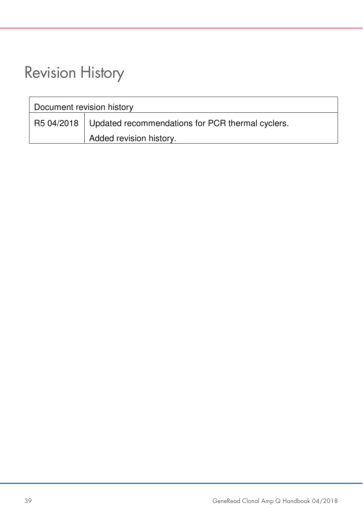### Revision History

| Document revision history |                                                               |  |
|---------------------------|---------------------------------------------------------------|--|
|                           | R5 04/2018   Updated recommendations for PCR thermal cyclers. |  |
|                           | Added revision history.                                       |  |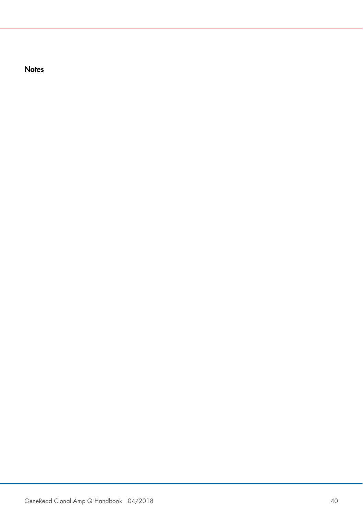**Notes**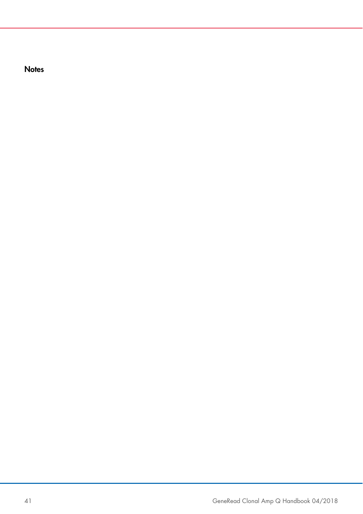**Notes**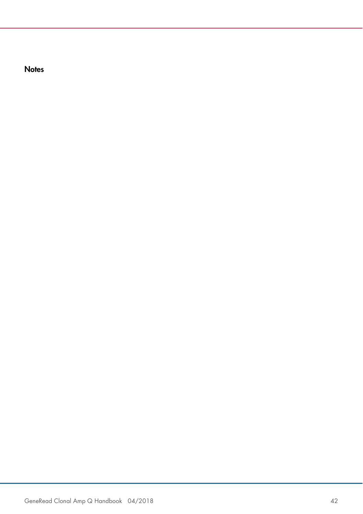**Notes**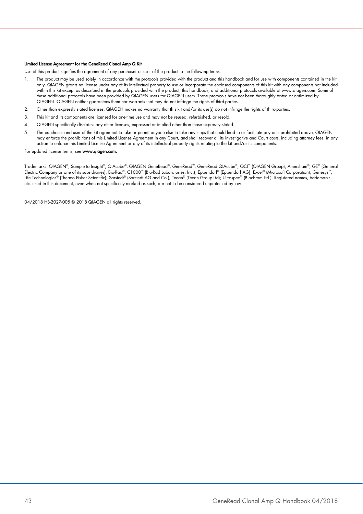#### Limited License Agreement for the GeneRead Clonal Amp Q Kit

Use of this product signifies the agreement of any purchaser or user of the product to the following terms:

- 1. The product may be used solely in accordance with the protocols provided with the product and this handbook and for use with components contained in the kit only. QIAGEN grants no license under any of its intellectual property to use or incorporate the enclosed components of this kit with any components not included within this kit except as described in the protocols provided with the product, this handbook, and additional protocols available at www.qiagen.com. Some of these additional protocols have been provided by QIAGEN users for QIAGEN users. These protocols have not been thoroughly tested or optimized by QIAGEN. QIAGEN neither guarantees them nor warrants that they do not infringe the rights of third-parties.
- 2. Other than expressly stated licenses, QIAGEN makes no warranty that this kit and/or its use(s) do not infringe the rights of third-parties.
- 3. This kit and its components are licensed for one-time use and may not be reused, refurbished, or resold.
- 4. QIAGEN specifically disclaims any other licenses, expressed or implied other than those expressly stated.
- 5. The purchaser and user of the kit agree not to take or permit anyone else to take any steps that could lead to or facilitate any acts prohibited above. QIAGEN may enforce the prohibitions of this Limited License Agreement in any Court, and shall recover all its investigative and Court costs, including attorney fees, in any action to enforce this Limited License Agreement or any of its intellectual property rights relating to the kit and/or its components.

For updated license terms, see www.qiagen.com.

Trademarks: QIAGEN®, Sample to Insight®, QIAcube®, QIAGEN GeneRead®, GeneRead™, GeneRead QIAcube®, QCI™ (QIAGEN Group); Amersham®, GE® (General Electric Company or one of its subsidiaries); Bio-Rad®, C1000™ (Bio-Rad Laboratories, Inc.); Eppendorf® (Eppendorf AG); Excel® (Microsoft Corporation); Genesys™,<br>Life Technologies® (Thermo Fisher Scientific); Sarstedt® (Sa etc. used in this document, even when not specifically marked as such, are not to be considered unprotected by law.

04/2018 HB-2027-005 © 2018 QIAGEN all rights reserved.